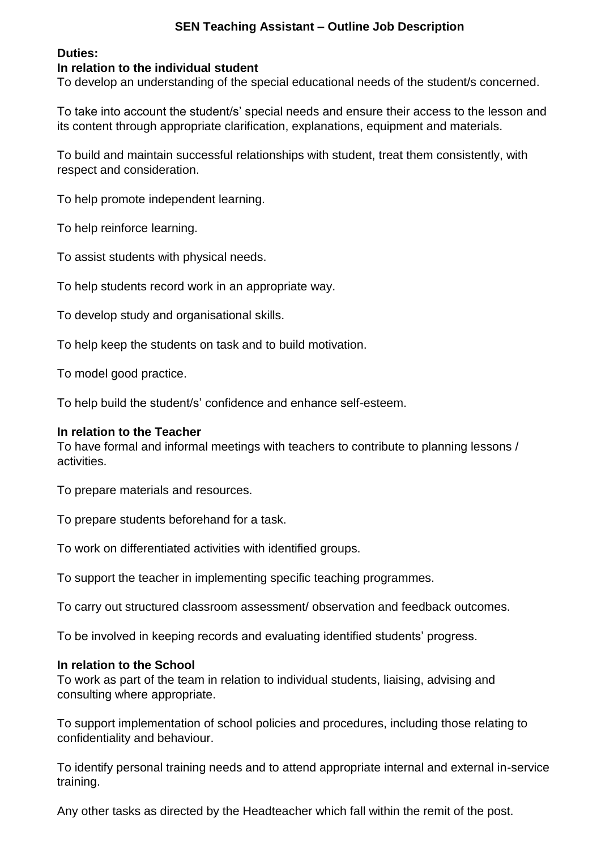# **SEN Teaching Assistant – Outline Job Description**

## **Duties:**

## **In relation to the individual student**

To develop an understanding of the special educational needs of the student/s concerned.

To take into account the student/s' special needs and ensure their access to the lesson and its content through appropriate clarification, explanations, equipment and materials.

To build and maintain successful relationships with student, treat them consistently, with respect and consideration.

To help promote independent learning.

To help reinforce learning.

To assist students with physical needs.

To help students record work in an appropriate way.

To develop study and organisational skills.

To help keep the students on task and to build motivation.

To model good practice.

To help build the student/s' confidence and enhance self-esteem.

#### **In relation to the Teacher**

To have formal and informal meetings with teachers to contribute to planning lessons / activities.

To prepare materials and resources.

To prepare students beforehand for a task.

To work on differentiated activities with identified groups.

To support the teacher in implementing specific teaching programmes.

To carry out structured classroom assessment/ observation and feedback outcomes.

To be involved in keeping records and evaluating identified students' progress.

#### **In relation to the School**

To work as part of the team in relation to individual students, liaising, advising and consulting where appropriate.

To support implementation of school policies and procedures, including those relating to confidentiality and behaviour.

To identify personal training needs and to attend appropriate internal and external in-service training.

Any other tasks as directed by the Headteacher which fall within the remit of the post.